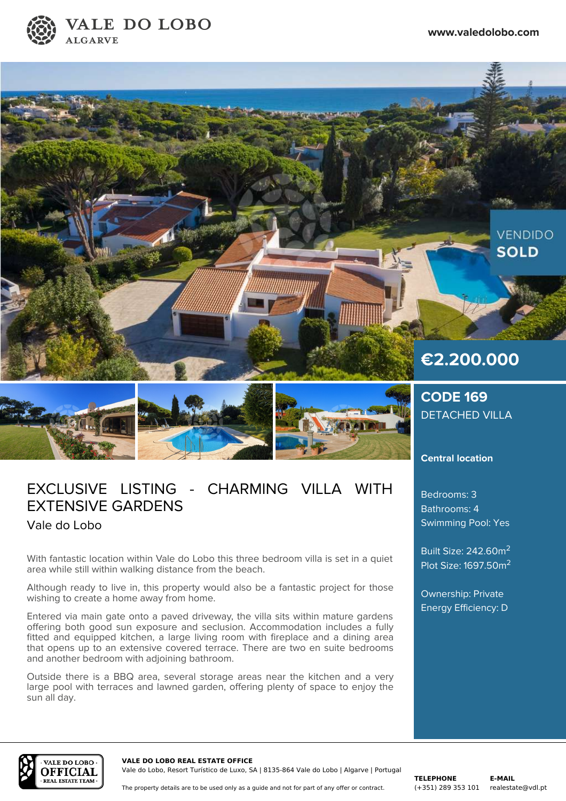



# EXCLUSIVE LISTING - CHARMING VILLA WITH EXTENSIVE GARDENS

Vale do Lobo

With fantastic location within Vale do Lobo this three bedroom villa is set in a quiet area while still within walking distance from the beach.

Although ready to live in, this property would also be a fantastic project for those wishing to create a home away from home.

Entered via main gate onto a paved driveway, the villa sits within mature gardens offering both good sun exposure and seclusion. Accommodation includes a fully fitted and equipped kitchen, a large living room with fireplace and a dining area that opens up to an extensive covered terrace. There are two en suite bedrooms and another bedroom with adjoining bathroom.

Outside there is a BBQ area, several storage areas near the kitchen and a very large pool with terraces and lawned garden, offering plenty of space to enjoy the sun all day.

### **Central location**

Bedrooms: 3 Bathrooms: 4 Swimming Pool: Yes

Built Size: 242.60m 2 Plot Size: 1697.50 $\text{m}^2$ 

Ownership: Private Energy Efficiency: D